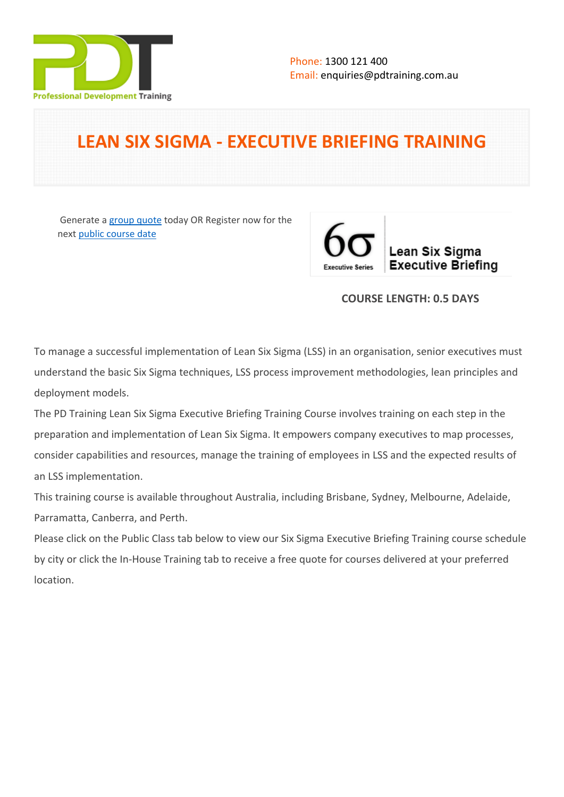

# **LEAN SIX SIGMA - EXECUTIVE BRIEFING TRAINING**

 Generate a [group quote](https://pdtraining.com.au/inhouse-training-quote?cse=PDT0173) today OR Register now for the next [public course date](https://pdtraining.com.au/booking?schedulecode=QF0nCGAJVSE1M7gpXaK1CHnCHEU6KCQ0qemiEuObmpTacgYQmX03AcVirxP7VE9sbOKHU7VDwJOmYnzBPeTWMWAntd0fOQpRqA8xFr5obwH0xIue8osRUmQonyoRgQYPu66xoa6xiFVppJZUTWgAxH&countryCode=AU¤cyCode=AU)



# **COURSE LENGTH: 0.5 DAYS**

To manage a successful implementation of Lean Six Sigma (LSS) in an organisation, senior executives must understand the basic Six Sigma techniques, LSS process improvement methodologies, lean principles and deployment models.

The PD Training Lean Six Sigma Executive Briefing Training Course involves training on each step in the preparation and implementation of Lean Six Sigma. It empowers company executives to map processes, consider capabilities and resources, manage the training of employees in LSS and the expected results of an LSS implementation.

This training course is available throughout Australia, including Brisbane, Sydney, Melbourne, Adelaide, Parramatta, Canberra, and Perth.

Please click on the Public Class tab below to view our Six Sigma Executive Briefing Training course schedule by city or click the In-House Training tab to receive a free quote for courses delivered at your preferred location.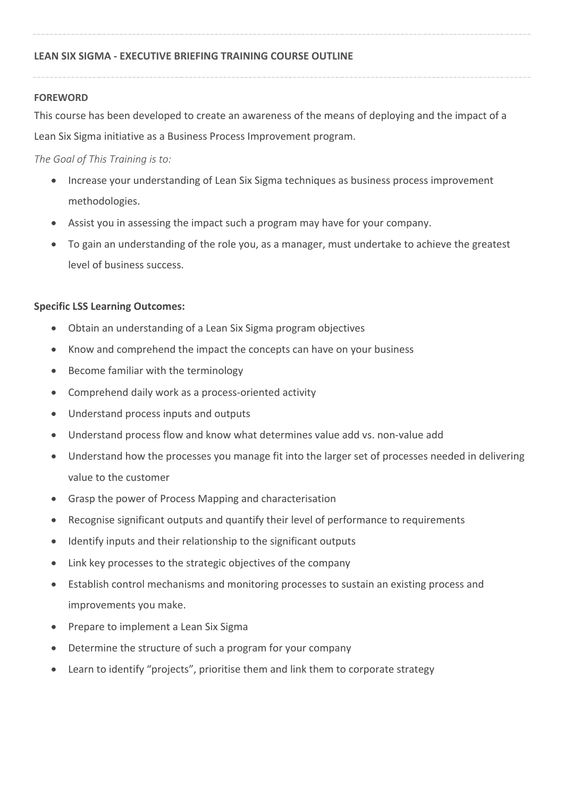## **FOREWORD**

This course has been developed to create an awareness of the means of deploying and the impact of a Lean Six Sigma initiative as a Business Process Improvement program.

*The Goal of This Training is to:*

- Increase your understanding of Lean Six Sigma techniques as business process improvement methodologies.
- Assist you in assessing the impact such a program may have for your company.
- To gain an understanding of the role you, as a manager, must undertake to achieve the greatest level of business success.

# **Specific LSS Learning Outcomes:**

- Obtain an understanding of a Lean Six Sigma program objectives
- Know and comprehend the impact the concepts can have on your business
- Become familiar with the terminology
- Comprehend daily work as a process-oriented activity
- Understand process inputs and outputs
- Understand process flow and know what determines value add vs. non-value add
- Understand how the processes you manage fit into the larger set of processes needed in delivering value to the customer
- Grasp the power of Process Mapping and characterisation
- Recognise significant outputs and quantify their level of performance to requirements
- Identify inputs and their relationship to the significant outputs
- Link key processes to the strategic objectives of the company
- Establish control mechanisms and monitoring processes to sustain an existing process and improvements you make.
- Prepare to implement a Lean Six Sigma
- Determine the structure of such a program for your company
- Learn to identify "projects", prioritise them and link them to corporate strategy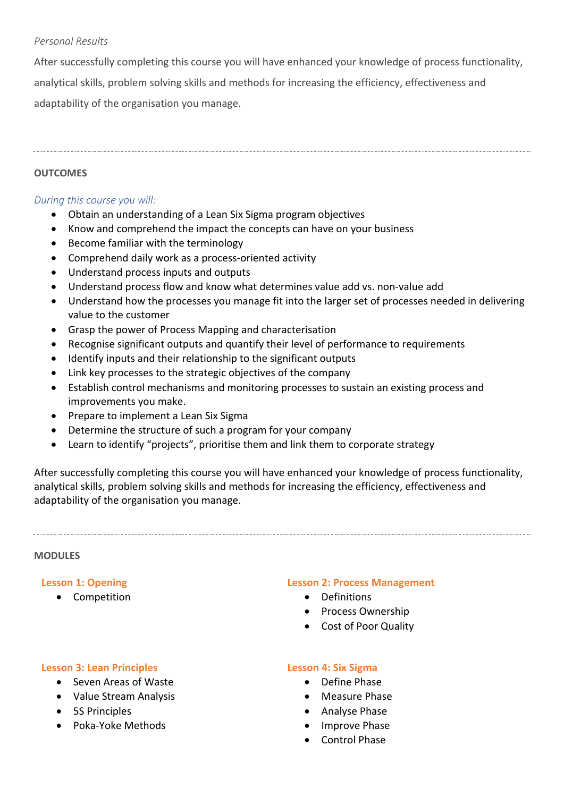## *Personal Results*

After successfully completing this course you will have enhanced your knowledge of process functionality, analytical skills, problem solving skills and methods for increasing the efficiency, effectiveness and adaptability of the organisation you manage.

# **OUTCOMES**

# *During this course you will:*

- Obtain an understanding of a Lean Six Sigma program objectives
- Know and comprehend the impact the concepts can have on your business
- Become familiar with the terminology
- Comprehend daily work as a process-oriented activity
- Understand process inputs and outputs
- Understand process flow and know what determines value add vs. non-value add
- Understand how the processes you manage fit into the larger set of processes needed in delivering value to the customer
- Grasp the power of Process Mapping and characterisation
- Recognise significant outputs and quantify their level of performance to requirements
- Identify inputs and their relationship to the significant outputs
- Link key processes to the strategic objectives of the company
- Establish control mechanisms and monitoring processes to sustain an existing process and improvements you make.
- Prepare to implement a Lean Six Sigma
- Determine the structure of such a program for your company
- Learn to identify "projects", prioritise them and link them to corporate strategy

After successfully completing this course you will have enhanced your knowledge of process functionality, analytical skills, problem solving skills and methods for increasing the efficiency, effectiveness and adaptability of the organisation you manage.

#### **MODULES**

## **Lesson 1: Opening**

• Competition

#### **Lesson 2: Process Management**

- Definitions
- Process Ownership
- Cost of Poor Quality

## **Lesson 3: Lean Principles**

- Seven Areas of Waste
- Value Stream Analysis
- 5S Principles
- Poka-Yoke Methods

# **Lesson 4: Six Sigma**

- Define Phase
- Measure Phase
- Analyse Phase
- Improve Phase
- Control Phase